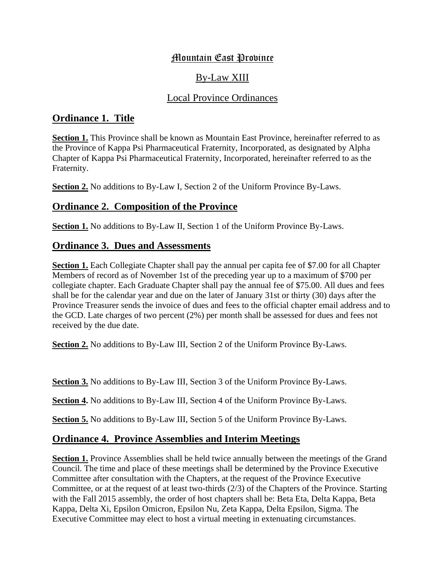# Mountain East Province

# By-Law XIII

### Local Province Ordinances

## **Ordinance 1. Title**

**Section 1.** This Province shall be known as Mountain East Province, hereinafter referred to as the Province of Kappa Psi Pharmaceutical Fraternity, Incorporated, as designated by Alpha Chapter of Kappa Psi Pharmaceutical Fraternity, Incorporated, hereinafter referred to as the Fraternity.

**Section 2.** No additions to By-Law I, Section 2 of the Uniform Province By-Laws.

## **Ordinance 2. Composition of the Province**

**Section 1.** No additions to By-Law II, Section 1 of the Uniform Province By-Laws.

## **Ordinance 3. Dues and Assessments**

**Section 1.** Each Collegiate Chapter shall pay the annual per capita fee of \$7.00 for all Chapter Members of record as of November 1st of the preceding year up to a maximum of \$700 per collegiate chapter. Each Graduate Chapter shall pay the annual fee of \$75.00. All dues and fees shall be for the calendar year and due on the later of January 31st or thirty (30) days after the Province Treasurer sends the invoice of dues and fees to the official chapter email address and to the GCD. Late charges of two percent (2%) per month shall be assessed for dues and fees not received by the due date.

**Section 2.** No additions to By-Law III, Section 2 of the Uniform Province By-Laws.

**Section 3.** No additions to By-Law III, Section 3 of the Uniform Province By-Laws.

**Section 4.** No additions to By-Law III, Section 4 of the Uniform Province By-Laws.

**Section 5.** No additions to By-Law III, Section 5 of the Uniform Province By-Laws.

## **Ordinance 4. Province Assemblies and Interim Meetings**

**Section 1.** Province Assemblies shall be held twice annually between the meetings of the Grand Council. The time and place of these meetings shall be determined by the Province Executive Committee after consultation with the Chapters, at the request of the Province Executive Committee, or at the request of at least two-thirds (2/3) of the Chapters of the Province. Starting with the Fall 2015 assembly, the order of host chapters shall be: Beta Eta, Delta Kappa, Beta Kappa, Delta Xi, Epsilon Omicron, Epsilon Nu, Zeta Kappa, Delta Epsilon, Sigma. The Executive Committee may elect to host a virtual meeting in extenuating circumstances.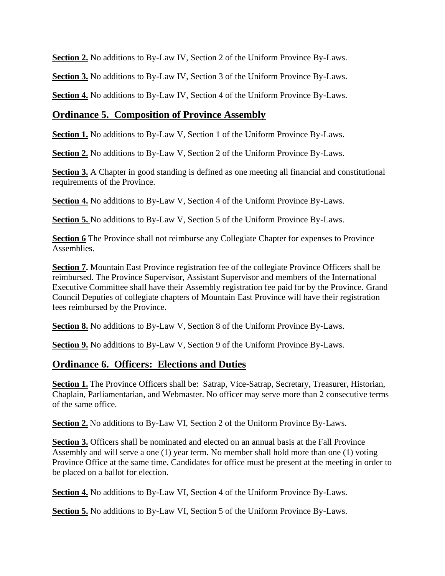**Section 2.** No additions to By-Law IV, Section 2 of the Uniform Province By-Laws.

**Section 3.** No additions to By-Law IV, Section 3 of the Uniform Province By-Laws.

**Section 4.** No additions to By-Law IV, Section 4 of the Uniform Province By-Laws.

### **Ordinance 5. Composition of Province Assembly**

**Section 1.** No additions to By-Law V, Section 1 of the Uniform Province By-Laws.

**Section 2.** No additions to By-Law V, Section 2 of the Uniform Province By-Laws.

**Section 3.** A Chapter in good standing is defined as one meeting all financial and constitutional requirements of the Province.

**Section 4.** No additions to By-Law V, Section 4 of the Uniform Province By-Laws.

**Section 5.** No additions to By-Law V, Section 5 of the Uniform Province By-Laws.

**Section 6** The Province shall not reimburse any Collegiate Chapter for expenses to Province Assemblies.

**Section 7.** Mountain East Province registration fee of the collegiate Province Officers shall be reimbursed. The Province Supervisor, Assistant Supervisor and members of the International Executive Committee shall have their Assembly registration fee paid for by the Province. Grand Council Deputies of collegiate chapters of Mountain East Province will have their registration fees reimbursed by the Province.

**Section 8.** No additions to By-Law V, Section 8 of the Uniform Province By-Laws.

**Section 9.** No additions to By-Law V, Section 9 of the Uniform Province By-Laws.

#### **Ordinance 6. Officers: Elections and Duties**

**Section 1.** The Province Officers shall be: Satrap, Vice-Satrap, Secretary, Treasurer, Historian, Chaplain, Parliamentarian, and Webmaster. No officer may serve more than 2 consecutive terms of the same office.

**Section 2.** No additions to By-Law VI, Section 2 of the Uniform Province By-Laws.

**Section 3.** Officers shall be nominated and elected on an annual basis at the Fall Province Assembly and will serve a one (1) year term. No member shall hold more than one (1) voting Province Office at the same time. Candidates for office must be present at the meeting in order to be placed on a ballot for election.

**Section 4.** No additions to By-Law VI, Section 4 of the Uniform Province By-Laws.

**Section 5.** No additions to By-Law VI, Section 5 of the Uniform Province By-Laws.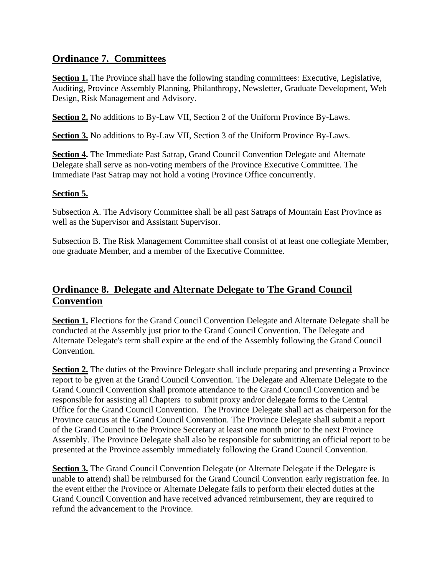### **Ordinance 7. Committees**

**Section 1.** The Province shall have the following standing committees: Executive, Legislative, Auditing, Province Assembly Planning, Philanthropy, Newsletter, Graduate Development, Web Design, Risk Management and Advisory.

**Section 2.** No additions to By-Law VII, Section 2 of the Uniform Province By-Laws.

**Section 3.** No additions to By-Law VII, Section 3 of the Uniform Province By-Laws.

**Section 4.** The Immediate Past Satrap, Grand Council Convention Delegate and Alternate Delegate shall serve as non-voting members of the Province Executive Committee. The Immediate Past Satrap may not hold a voting Province Office concurrently.

#### **Section 5.**

Subsection A. The Advisory Committee shall be all past Satraps of Mountain East Province as well as the Supervisor and Assistant Supervisor.

Subsection B. The Risk Management Committee shall consist of at least one collegiate Member, one graduate Member, and a member of the Executive Committee.

# **Ordinance 8. Delegate and Alternate Delegate to The Grand Council Convention**

**Section 1.** Elections for the Grand Council Convention Delegate and Alternate Delegate shall be conducted at the Assembly just prior to the Grand Council Convention. The Delegate and Alternate Delegate's term shall expire at the end of the Assembly following the Grand Council Convention.

**Section 2.** The duties of the Province Delegate shall include preparing and presenting a Province report to be given at the Grand Council Convention. The Delegate and Alternate Delegate to the Grand Council Convention shall promote attendance to the Grand Council Convention and be responsible for assisting all Chapters to submit proxy and/or delegate forms to the Central Office for the Grand Council Convention. The Province Delegate shall act as chairperson for the Province caucus at the Grand Council Convention. The Province Delegate shall submit a report of the Grand Council to the Province Secretary at least one month prior to the next Province Assembly. The Province Delegate shall also be responsible for submitting an official report to be presented at the Province assembly immediately following the Grand Council Convention.

**Section 3.** The Grand Council Convention Delegate (or Alternate Delegate if the Delegate is unable to attend) shall be reimbursed for the Grand Council Convention early registration fee. In the event either the Province or Alternate Delegate fails to perform their elected duties at the Grand Council Convention and have received advanced reimbursement, they are required to refund the advancement to the Province.